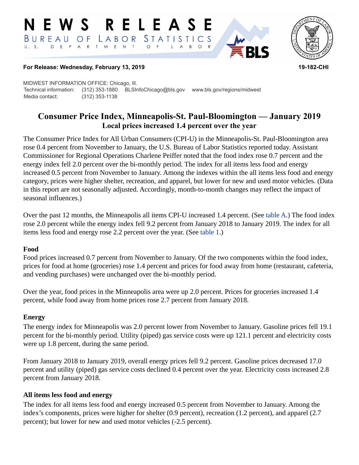#### RELEASE **N E W S** LABOR STATISTICS  $B$  U R E A U O F D E P A R T M E N T  $\circ$  $\overline{A}$  $B$  $\circ$  $\mathsf{L}$



### **For Release: Wednesday, February 13, 2019 19-182-CHI**

MIDWEST INFORMATION OFFICE: Chicago, Ill. Technical information: (312) 353-1880 BLSInfoChicago@bls.gov www.bls.gov/regions/midwest Media contact: (312) 353-1138

# **Consumer Price Index, Minneapolis-St. Paul-Bloomington — January 2019 Local prices increased 1.4 percent over the year**

The Consumer Price Index for All Urban Consumers (CPI-U) in the Minneapolis-St. Paul-Bloomington area rose 0.4 percent from November to January, the U.S. Bureau of Labor Statistics reported today. Assistant Commissioner for Regional Operations Charlene Peiffer noted that the food index rose 0.7 percent and the energy index fell 2.0 percent over the bi-monthly period. The index for all items less food and energy increased 0.5 percent from November to January. Among the indexes within the all items less food and energy category, prices were higher shelter, recreation, and apparel, but lower for new and used motor vehicles. (Data in this report are not seasonally adjusted. Accordingly, month-to-month changes may reflect the impact of seasonal influences.)

Over the past 12 months, the Minneapolis all items CPI-U increased 1.4 percent. (See [table A.](#page-1-0)) The food index rose 2.0 percent while the energy index fell 9.2 percent from January 2018 to January 2019. The index for all items less food and energy rose 2.2 percent over the year. (See [table 1](#page-3-0).)

### **Food**

Food prices increased 0.7 percent from November to January. Of the two components within the food index, prices for food at home (groceries) rose 1.4 percent and prices for food away from home (restaurant, cafeteria, and vending purchases) were unchanged over the bi-monthly period.

Over the year, food prices in the Minneapolis area were up 2.0 percent. Prices for groceries increased 1.4 percent, while food away from home prices rose 2.7 percent from January 2018.

### **Energy**

The energy index for Minneapolis was 2.0 percent lower from November to January. Gasoline prices fell 19.1 percent for the bi-monthly period. Utility (piped) gas service costs were up 121.1 percent and electricity costs were up 1.8 percent, during the same period.

From January 2018 to January 2019, overall energy prices fell 9.2 percent. Gasoline prices decreased 17.0 percent and utility (piped) gas service costs declined 0.4 percent over the year. Electricity costs increased 2.8 percent from January 2018.

### **All items less food and energy**

The index for all items less food and energy increased 0.5 percent from November to January. Among the index's components, prices were higher for shelter (0.9 percent), recreation (1.2 percent), and apparel (2.7 percent); but lower for new and used motor vehicles (-2.5 percent).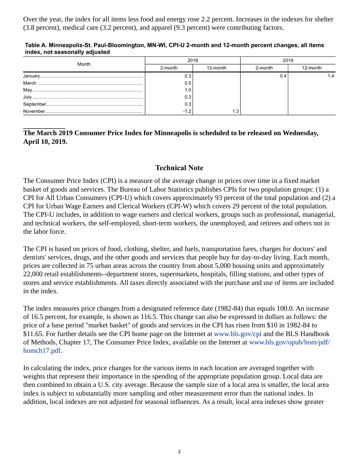Over the year, the index for all items less food and energy rose 2.2 percent. Increases in the indexes for shelter (3.8 percent), medical care (3.2 percent), and apparel (9.3 percent) were contributing factors.

#### <span id="page-1-0"></span>**Table A. Minneapolis-St. Paul-Bloomington, MN-WI, CPI-U 2-month and 12-month percent changes, all items index, not seasonally adjusted**

|       | 2018    |          | 2019    |          |  |
|-------|---------|----------|---------|----------|--|
| Month | 2-month | 12-month | 2-month | 12-month |  |
|       |         |          | 0.4     | 1.4      |  |
|       | 0.5     |          |         |          |  |
|       | 1.0     |          |         |          |  |
|       | 0.3     |          |         |          |  |
|       | 0.3     |          |         |          |  |
|       | -12     |          |         |          |  |

## **The March 2019 Consumer Price Index for Minneapolis is scheduled to be released on Wednesday, April 10, 2019.**

# **Technical Note**

The Consumer Price Index (CPI) is a measure of the average change in prices over time in a fixed market basket of goods and services. The Bureau of Labor Statistics publishes CPIs for two population groups: (1) a CPI for All Urban Consumers (CPI-U) which covers approximately 93 percent of the total population and (2) a CPI for Urban Wage Earners and Clerical Workers (CPI-W) which covers 29 percent of the total population. The CPI-U includes, in addition to wage earners and clerical workers, groups such as professional, managerial, and technical workers, the self-employed, short-term workers, the unemployed, and retirees and others not in the labor force.

The CPI is based on prices of food, clothing, shelter, and fuels, transportation fares, charges for doctors' and dentists' services, drugs, and the other goods and services that people buy for day-to-day living. Each month, prices are collected in 75 urban areas across the country from about 5,000 housing units and approximately 22,000 retail establishments--department stores, supermarkets, hospitals, filling stations, and other types of stores and service establishments. All taxes directly associated with the purchase and use of items are included in the index.

The index measures price changes from a designated reference date (1982-84) that equals 100.0. An increase of 16.5 percent, for example, is shown as 116.5. This change can also be expressed in dollars as follows: the price of a base period "market basket" of goods and services in the CPI has risen from \$10 in 1982-84 to \$11.65. For further details see the CPI home page on the Internet at [www.bls.gov/cpi](https://www.bls.gov/cpi) and the BLS Handbook of Methods, Chapter 17, The Consumer Price Index, available on the Internet at [www.bls.gov/opub/hom/pdf/](https://www.bls.gov/opub/hom/pdf/homch17.pdf) [homch17.pdf](https://www.bls.gov/opub/hom/pdf/homch17.pdf).

In calculating the index, price changes for the various items in each location are averaged together with weights that represent their importance in the spending of the appropriate population group. Local data are then combined to obtain a U.S. city average. Because the sample size of a local area is smaller, the local area index is subject to substantially more sampling and other measurement error than the national index. In addition, local indexes are not adjusted for seasonal influences. As a result, local area indexes show greater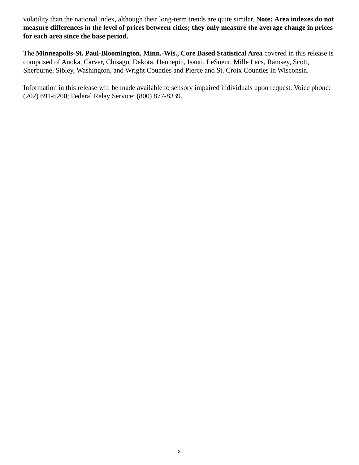volatility than the national index, although their long-term trends are quite similar. **Note: Area indexes do not measure differences in the level of prices between cities; they only measure the average change in prices for each area since the base period.**

The **Minneapolis-St. Paul-Bloomington, Minn.-Wis., Core Based Statistical Area** covered in this release is comprised of Anoka, Carver, Chisago, Dakota, Hennepin, Isanti, LeSueur, Mille Lacs, Ramsey, Scott, Sherburne, Sibley, Washington, and Wright Counties and Pierce and St. Croix Counties in Wisconsin.

Information in this release will be made available to sensory impaired individuals upon request. Voice phone: (202) 691-5200; Federal Relay Service: (800) 877-8339.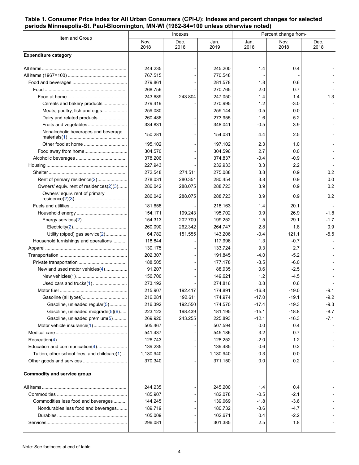### <span id="page-3-0"></span>**Table 1. Consumer Price Index for All Urban Consumers (CPI-U): Indexes and percent changes for selected periods Minneapolis-St. Paul-Bloomington, MN-WI (1982-84=100 unless otherwise noted)**

| Item and Group                               | Indexes      |              |              | Percent change from- |              |              |
|----------------------------------------------|--------------|--------------|--------------|----------------------|--------------|--------------|
|                                              | Nov.<br>2018 | Dec.<br>2018 | Jan.<br>2019 | Jan.<br>2018         | Nov.<br>2018 | Dec.<br>2018 |
| <b>Expenditure category</b>                  |              |              |              |                      |              |              |
|                                              | 244.235      |              | 245.200      | 1.4                  | 0.4          |              |
|                                              | 767.515      |              | 770.548      |                      |              |              |
|                                              | 279.861      |              | 281.578      | 1.8                  | 0.6          |              |
|                                              | 268.756      |              | 270.765      | 2.0                  | 0.7          |              |
|                                              | 243.689      | 243.804      | 247.050      | 1.4                  | 1.4          | 1.3          |
| Cereals and bakery products                  | 279.419      |              | 270.995      | 1.2                  | -3.0         |              |
| Meats, poultry, fish and eggs                | 259.080      |              | 259.144      | 0.5                  | 0.0          |              |
| Dairy and related products                   | 260.486      |              | 273.955      | 1.6                  | 5.2          |              |
| Fruits and vegetables                        | 334.831      |              | 348.041      | $-0.5$               | 3.9          |              |
| Nonalcoholic beverages and beverage          | 150.281      |              | 154.031      | 4.4                  | 2.5          |              |
|                                              | 195.102      |              | 197.102      | 2.3                  | 1.0          |              |
|                                              | 304.570      |              | 304.596      | 2.7                  | 0.0          |              |
|                                              | 378.206      |              | 374.837      | -0.4                 | $-0.9$       |              |
|                                              | 227.943      |              | 232.933      | 3.3                  | 2.2          |              |
|                                              | 272.548      | 274.511      | 275.088      | 3.8                  | 0.9          | 0.2          |
| Rent of primary residence(2)                 | 278.031      | 280.351      | 280.454      | 3.8                  | 0.9          | 0.0          |
| Owners' equiv. rent of residences(2)(3)      | 286.042      | 288.075      | 288.723      | 3.9                  | 0.9          | 0.2          |
| Owners' equiv. rent of primary               | 286.042      | 288.075      | 288.723      | 3.9                  | 0.9          | 0.2          |
|                                              | 181.658      |              | 218.163      | 1.4                  | 20.1         |              |
|                                              | 154.171      | 199.243      | 195.702      | 0.9                  | 26.9         | $-1.8$       |
|                                              | 154.313      | 202.709      | 199.252      | 1.5                  | 29.1         | $-1.7$       |
|                                              | 260.090      | 262.342      | 264.747      | 2.8                  | 1.8          | 0.9          |
| Utility (piped) gas service(2)               | 64.782       | 151.555      | 143.206      | -0.4                 | 121.1        | $-5.5$       |
| Household furnishings and operations         | 118.844      |              | 117.996      | 1.3                  | $-0.7$       |              |
|                                              | 130.175      |              | 133.724      | 9.3                  | 2.7          |              |
|                                              | 202.307      |              | 191.845      | -4.0                 | $-5.2$       |              |
|                                              | 188.505      |              | 177.178      | $-3.5$               | $-6.0$       |              |
| New and used motor vehicles(4)               | 91.207       |              | 88.935       | 0.6                  | $-2.5$       |              |
|                                              | 156.700      |              | 149.621      | 1.2                  | $-4.5$       |              |
| Used cars and trucks(1)                      | 273.192      |              | 274.816      | 0.8                  | 0.6          |              |
|                                              | 215.907      | 192.417      | 174.891      | $-16.8$              | $-19.0$      | $-9.1$       |
|                                              | 216.281      | 192.611      | 174.974      | $-17.0$              | $-19.1$      | $-9.2$       |
| Gasoline, unleaded regular(5)                | 216.392      | 192.550      | 174.570      | $-17.4$              | $-19.3$      | $-9.3$       |
| Gasoline, unleaded midgrade(5)(6)            | 223.123      | 198.439      | 181.195      | $-15.1$              | $-18.8$      | $-8.7$       |
| Gasoline, unleaded premium(5)                | 269.920      | 243.255      | 225.893      | $-12.1$              | $-16.3$      | $-7.1$       |
|                                              | 505.467      |              | 507.594      | 0.0                  | 0.4          |              |
|                                              | 541.437      |              | 545.186      | 3.2                  | 0.7          |              |
|                                              | 126.743      |              | 128.252      | $-2.0$               | 1.2          |              |
| Education and communication(4)               | 139.235      |              | 139.485      | 0.6                  | 0.2          |              |
| Tuition, other school fees, and childcare(1) | 1,130.940    |              | 1,130.940    | 0.3                  | 0.0          |              |
|                                              | 370.340      |              | 371.150      | 0.0                  | 0.2          |              |
| <b>Commodity and service group</b>           |              |              |              |                      |              |              |
|                                              | 244.235      |              | 245.200      | 1.4                  | 0.4          |              |
|                                              | 185.907      |              | 182.078      | $-0.5$               | $-2.1$       |              |
| Commodities less food and beverages          | 144.245      |              | 139.069      | -1.8                 | $-3.6$       |              |
| Nondurables less food and beverages          | 189.719      |              | 180.732      | $-3.6$               | $-4.7$       |              |
|                                              | 105.009      |              | 102.671      | 0.4                  | $-2.2$       |              |
|                                              | 296.081      |              | 301.385      | 2.5                  | 1.8          |              |